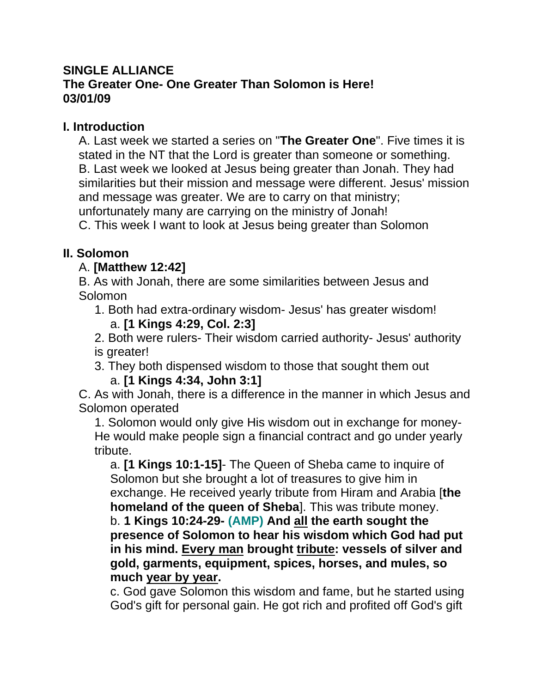## **SINGLE ALLIANCE The Greater One- One Greater Than Solomon is Here! 03/01/09**

### **I. Introduction**

A. Last week we started a series on "**The Greater One**". Five times it is stated in the NT that the Lord is greater than someone or something. B. Last week we looked at Jesus being greater than Jonah. They had similarities but their mission and message were different. Jesus' mission and message was greater. We are to carry on that ministry; unfortunately many are carrying on the ministry of Jonah!

C. This week I want to look at Jesus being greater than Solomon

# **II. Solomon**

## A. **[Matthew 12:42]**

B. As with Jonah, there are some similarities between Jesus and Solomon

1. Both had extra-ordinary wisdom- Jesus' has greater wisdom! a. **[1 Kings 4:29, Col. 2:3]**

2. Both were rulers- Their wisdom carried authority- Jesus' authority is greater!

3. They both dispensed wisdom to those that sought them out

#### a. **[1 Kings 4:34, John 3:1]**

C. As with Jonah, there is a difference in the manner in which Jesus and Solomon operated

1. Solomon would only give His wisdom out in exchange for money-He would make people sign a financial contract and go under yearly tribute.

a. **[1 Kings 10:1-15]**- The Queen of Sheba came to inquire of Solomon but she brought a lot of treasures to give him in exchange. He received yearly tribute from Hiram and Arabia [**the homeland of the queen of Sheba**]. This was tribute money. b. **1 Kings 10:24-29- (AMP) And all the earth sought the presence of Solomon to hear his wisdom which God had put in his mind. Every man brought tribute: vessels of silver and gold, garments, equipment, spices, horses, and mules, so much year by year.**

c. God gave Solomon this wisdom and fame, but he started using God's gift for personal gain. He got rich and profited off God's gift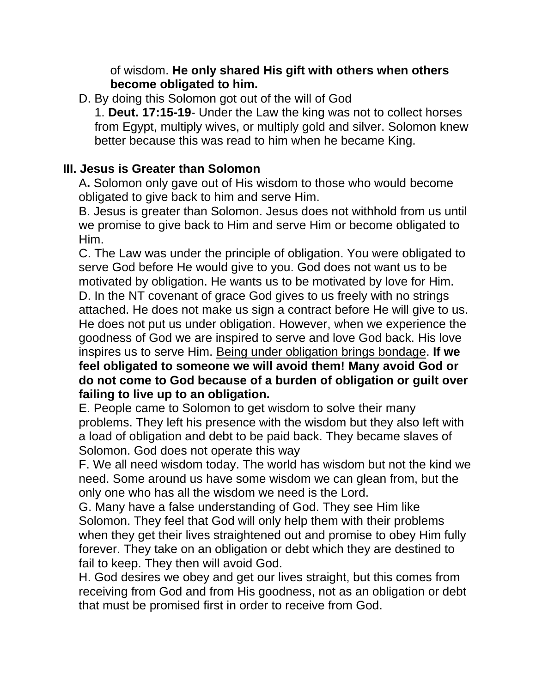#### of wisdom. **He only shared His gift with others when others become obligated to him.**

D. By doing this Solomon got out of the will of God

1. **Deut. 17:15-19**- Under the Law the king was not to collect horses from Egypt, multiply wives, or multiply gold and silver. Solomon knew better because this was read to him when he became King.

### **III. Jesus is Greater than Solomon**

A**.** Solomon only gave out of His wisdom to those who would become obligated to give back to him and serve Him.

B. Jesus is greater than Solomon. Jesus does not withhold from us until we promise to give back to Him and serve Him or become obligated to Him.

C. The Law was under the principle of obligation. You were obligated to serve God before He would give to you. God does not want us to be motivated by obligation. He wants us to be motivated by love for Him. D. In the NT covenant of grace God gives to us freely with no strings attached. He does not make us sign a contract before He will give to us. He does not put us under obligation. However, when we experience the goodness of God we are inspired to serve and love God back. His love inspires us to serve Him. Being under obligation brings bondage. **If we feel obligated to someone we will avoid them! Many avoid God or do not come to God because of a burden of obligation or guilt over failing to live up to an obligation.**

E. People came to Solomon to get wisdom to solve their many problems. They left his presence with the wisdom but they also left with a load of obligation and debt to be paid back. They became slaves of Solomon. God does not operate this way

F. We all need wisdom today. The world has wisdom but not the kind we need. Some around us have some wisdom we can glean from, but the only one who has all the wisdom we need is the Lord.

G. Many have a false understanding of God. They see Him like Solomon. They feel that God will only help them with their problems when they get their lives straightened out and promise to obey Him fully forever. They take on an obligation or debt which they are destined to fail to keep. They then will avoid God.

H. God desires we obey and get our lives straight, but this comes from receiving from God and from His goodness, not as an obligation or debt that must be promised first in order to receive from God.